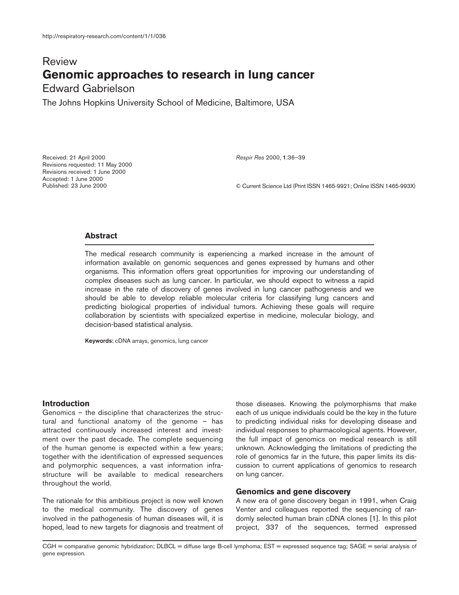# Review **Genomic approaches to research in lung cancer** Edward Gabrielson

The Johns Hopkins University School of Medicine, Baltimore, USA

Received: 21 April 2000 Revisions requested: 11 May 2000 Revisions received: 1 June 2000 Accepted: 1 June 2000 Published: 23 June 2000

*Respir Res* 2000, **1**:36–39

© Current Science Ltd (Print ISSN 1465-9921; Online ISSN 1465-993X)

## **Abstract**

The medical research community is experiencing a marked increase in the amount of information available on genomic sequences and genes expressed by humans and other organisms. This information offers great opportunities for improving our understanding of complex diseases such as lung cancer. In particular, we should expect to witness a rapid increase in the rate of discovery of genes involved in lung cancer pathogenesis and we should be able to develop reliable molecular criteria for classifying lung cancers and predicting biological properties of individual tumors. Achieving these goals will require collaboration by scientists with specialized expertise in medicine, molecular biology, and decision-based statistical analysis.

**Keywords:** cDNA arrays, genomics, lung cancer

### **Introduction**

Genomics – the discipline that characterizes the structural and functional anatomy of the genome – has attracted continuously increased interest and investment over the past decade. The complete sequencing of the human genome is expected within a few years; together with the identification of expressed sequences and polymorphic sequences, a vast information infrastructure will be available to medical researchers throughout the world.

The rationale for this ambitious project is now well known to the medical community. The discovery of genes involved in the pathogenesis of human diseases will, it is hoped, lead to new targets for diagnosis and treatment of those diseases. Knowing the polymorphisms that make each of us unique individuals could be the key in the future to predicting individual risks for developing disease and individual responses to pharmacological agents. However, the full impact of genomics on medical research is still unknown. Acknowledging the limitations of predicting the role of genomics far in the future, this paper limits its discussion to current applications of genomics to research on lung cancer.

#### **Genomics and gene discovery**

A new era of gene discovery began in 1991, when Craig Venter and colleagues reported the sequencing of randomly selected human brain cDNA clones [1]. In this pilot project, 337 of the sequences, termed expressed

CGH = comparative genomic hybridization; DLBCL = diffuse large B-cell lymphoma; EST = expressed sequence tag; SAGE = serial analysis of gene expression.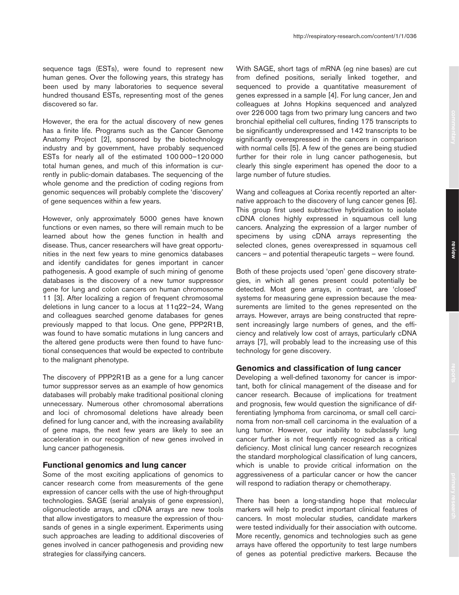sequence tags (ESTs), were found to represent new human genes. Over the following years, this strategy has been used by many laboratories to sequence several hundred thousand ESTs, representing most of the genes discovered so far.

However, the era for the actual discovery of new genes has a finite life. Programs such as the Cancer Genome Anatomy Project [2], sponsored by the biotechnology industry and by government, have probably sequenced ESTs for nearly all of the estimated 100 000–120 000 total human genes, and much of this information is currently in public-domain databases. The sequencing of the whole genome and the prediction of coding regions from genomic sequences will probably complete the 'discovery' of gene sequences within a few years.

However, only approximately 5000 genes have known functions or even names, so there will remain much to be learned about how the genes function in health and disease. Thus, cancer researchers will have great opportunities in the next few years to mine genomics databases and identify candidates for genes important in cancer pathogenesis. A good example of such mining of genome databases is the discovery of a new tumor suppressor gene for lung and colon cancers on human chromosome 11 [3]. After localizing a region of frequent chromosomal deletions in lung cancer to a locus at 11q22–24, Wang and colleagues searched genome databases for genes previously mapped to that locus. One gene, PPP2R1B, was found to have somatic mutations in lung cancers and the altered gene products were then found to have functional consequences that would be expected to contribute to the malignant phenotype.

The discovery of PPP2R1B as a gene for a lung cancer tumor suppressor serves as an example of how genomics databases will probably make traditional positional cloning unnecessary. Numerous other chromosomal aberrations and loci of chromosomal deletions have already been defined for lung cancer and, with the increasing availability of gene maps, the next few years are likely to see an acceleration in our recognition of new genes involved in lung cancer pathogenesis.

#### **Functional genomics and lung cancer**

Some of the most exciting applications of genomics to cancer research come from measurements of the gene expression of cancer cells with the use of high-throughput technologies. SAGE (serial analysis of gene expression), oligonucleotide arrays, and cDNA arrays are new tools that allow investigators to measure the expression of thousands of genes in a single experiment. Experiments using such approaches are leading to additional discoveries of genes involved in cancer pathogenesis and providing new strategies for classifying cancers.

With SAGE, short tags of mRNA (eg nine bases) are cut from defined positions, serially linked together, and sequenced to provide a quantitative measurement of genes expressed in a sample [4]. For lung cancer, Jen and colleagues at Johns Hopkins sequenced and analyzed over 226 000 tags from two primary lung cancers and two bronchial epithelial cell cultures, finding 175 transcripts to be significantly underexpressed and 142 transcripts to be significantly overexpressed in the cancers in comparison with normal cells [5]. A few of the genes are being studied further for their role in lung cancer pathogenesis, but clearly this single experiment has opened the door to a large number of future studies.

Wang and colleagues at Corixa recently reported an alternative approach to the discovery of lung cancer genes [6]. This group first used subtractive hybridization to isolate cDNA clones highly expressed in squamous cell lung cancers. Analyzing the expression of a larger number of specimens by using cDNA arrays representing the selected clones, genes overexpressed in squamous cell cancers – and potential therapeutic targets – were found.

Both of these projects used 'open' gene discovery strategies, in which all genes present could potentially be detected. Most gene arrays, in contrast, are 'closed' systems for measuring gene expression because the measurements are limited to the genes represented on the arrays. However, arrays are being constructed that represent increasingly large numbers of genes, and the efficiency and relatively low cost of arrays, particularly cDNA arrays [7], will probably lead to the increasing use of this technology for gene discovery.

## **Genomics and classification of lung cancer**

Developing a well-defined taxonomy for cancer is important, both for clinical management of the disease and for cancer research. Because of implications for treatment and prognosis, few would question the significance of differentiating lymphoma from carcinoma, or small cell carcinoma from non-small cell carcinoma in the evaluation of a lung tumor. However, our inability to subclassify lung cancer further is not frequently recognized as a critical deficiency. Most clinical lung cancer research recognizes the standard morphological classification of lung cancers, which is unable to provide critical information on the aggressiveness of a particular cancer or how the cancer will respond to radiation therapy or chemotherapy.

There has been a long-standing hope that molecular markers will help to predict important clinical features of cancers. In most molecular studies, candidate markers were tested individually for their association with outcome. More recently, genomics and technologies such as gene arrays have offered the opportunity to test large numbers of genes as potential predictive markers. Because the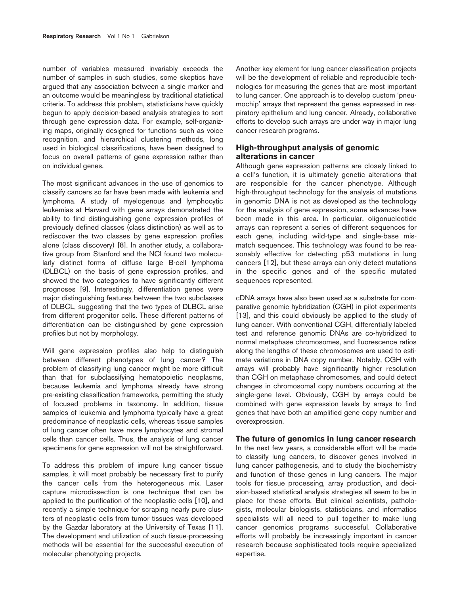number of variables measured invariably exceeds the number of samples in such studies, some skeptics have argued that any association between a single marker and an outcome would be meaningless by traditional statistical criteria. To address this problem, statisticians have quickly begun to apply decision-based analysis strategies to sort through gene expression data. For example, self-organizing maps, originally designed for functions such as voice recognition, and hierarchical clustering methods, long used in biological classifications, have been designed to focus on overall patterns of gene expression rather than on individual genes.

The most significant advances in the use of genomics to classify cancers so far have been made with leukemia and lymphoma. A study of myelogenous and lymphocytic leukemias at Harvard with gene arrays demonstrated the ability to find distinguishing gene expression profiles of previously defined classes (class distinction) as well as to rediscover the two classes by gene expression profiles alone (class discovery) [8]. In another study, a collaborative group from Stanford and the NCI found two molecularly distinct forms of diffuse large B-cell lymphoma (DLBCL) on the basis of gene expression profiles, and showed the two categories to have significantly different prognoses [9]. Interestingly, differentiation genes were major distinguishing features between the two subclasses of DLBCL, suggesting that the two types of DLBCL arise from different progenitor cells. These different patterns of differentiation can be distinguished by gene expression profiles but not by morphology.

Will gene expression profiles also help to distinguish between different phenotypes of lung cancer? The problem of classifying lung cancer might be more difficult than that for subclassifying hematopoietic neoplasms, because leukemia and lymphoma already have strong pre-existing classification frameworks, permitting the study of focused problems in taxonomy. In addition, tissue samples of leukemia and lymphoma typically have a great predominance of neoplastic cells, whereas tissue samples of lung cancer often have more lymphocytes and stromal cells than cancer cells. Thus, the analysis of lung cancer specimens for gene expression will not be straightforward.

To address this problem of impure lung cancer tissue samples, it will most probably be necessary first to purify the cancer cells from the heterogeneous mix. Laser capture microdissection is one technique that can be applied to the purification of the neoplastic cells [10], and recently a simple technique for scraping nearly pure clusters of neoplastic cells from tumor tissues was developed by the Gazdar laboratory at the University of Texas [11]. The development and utilization of such tissue-processing methods will be essential for the successful execution of molecular phenotyping projects.

Another key element for lung cancer classification projects will be the development of reliable and reproducible technologies for measuring the genes that are most important to lung cancer. One approach is to develop custom 'pneumochip' arrays that represent the genes expressed in respiratory epithelium and lung cancer. Already, collaborative efforts to develop such arrays are under way in major lung cancer research programs.

## **High-throughput analysis of genomic alterations in cancer**

Although gene expression patterns are closely linked to a cell's function, it is ultimately genetic alterations that are responsible for the cancer phenotype. Although high-throughput technology for the analysis of mutations in genomic DNA is not as developed as the technology for the analysis of gene expression, some advances have been made in this area. In particular, oligonucleotide arrays can represent a series of different sequences for each gene, including wild-type and single-base mismatch sequences. This technology was found to be reasonably effective for detecting p53 mutations in lung cancers [12], but these arrays can only detect mutations in the specific genes and of the specific mutated sequences represented.

cDNA arrays have also been used as a substrate for comparative genomic hybridization (CGH) in pilot experiments [13], and this could obviously be applied to the study of lung cancer. With conventional CGH, differentially labeled test and reference genomic DNAs are co-hybridized to normal metaphase chromosomes, and fluorescence ratios along the lengths of these chromosomes are used to estimate variations in DNA copy number. Notably, CGH with arrays will probably have significantly higher resolution than CGH on metaphase chromosomes, and could detect changes in chromosomal copy numbers occurring at the single-gene level. Obviously, CGH by arrays could be combined with gene expression levels by arrays to find genes that have both an amplified gene copy number and overexpression.

## **The future of genomics in lung cancer research**

In the next few years, a considerable effort will be made to classify lung cancers, to discover genes involved in lung cancer pathogenesis, and to study the biochemistry and function of those genes in lung cancers. The major tools for tissue processing, array production, and decision-based statistical analysis strategies all seem to be in place for these efforts. But clinical scientists, pathologists, molecular biologists, statisticians, and informatics specialists will all need to pull together to make lung cancer genomics programs successful. Collaborative efforts will probably be increasingly important in cancer research because sophisticated tools require specialized expertise.